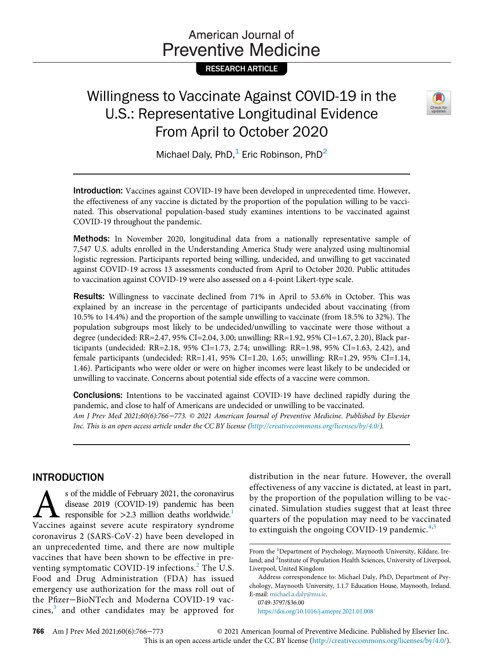# American Journal of **Preventive Medicine**

RESEARCH ARTICLE

# Willingness to Vaccinate Against COVID-19 in the U.S.: Representative Longitudinal Evidence From April to October 2020



Michael Daly, PhD, $<sup>1</sup>$  Eric Robinson, PhD<sup>2</sup></sup>

Introduction: Vaccines against COVID-19 have been developed in unprecedented time. However, the effectiveness of any vaccine is dictated by the proportion of the population willing to be vaccinated. This observational population-based study examines intentions to be vaccinated against COVID-19 throughout the pandemic.

Methods: In November 2020, longitudinal data from a nationally representative sample of 7,547 U.S. adults enrolled in the Understanding America Study were analyzed using multinomial logistic regression. Participants reported being willing, undecided, and unwilling to get vaccinated against COVID-19 across 13 assessments conducted from April to October 2020. Public attitudes to vaccination against COVID-19 were also assessed on a 4-point Likert-type scale.

Results: Willingness to vaccinate declined from 71% in April to 53.6% in October. This was explained by an increase in the percentage of participants undecided about vaccinating (from 10.5% to 14.4%) and the proportion of the sample unwilling to vaccinate (from 18.5% to 32%). The population subgroups most likely to be undecided/unwilling to vaccinate were those without a degree (undecided: RR=2.47, 95% CI=2.04, 3.00; unwilling: RR=1.92, 95% CI=1.67, 2.20), Black participants (undecided: RR=2.18, 95% CI=1.73, 2.74; unwilling: RR=1.98, 95% CI=1.63, 2.42), and female participants (undecided: RR=1.41, 95% CI=1.20, 1.65; unwilling: RR=1.29, 95% CI=1.14, 1.46). Participants who were older or were on higher incomes were least likely to be undecided or unwilling to vaccinate. Concerns about potential side effects of a vaccine were common.

Conclusions: Intentions to be vaccinated against COVID-19 have declined rapidly during the pandemic, and close to half of Americans are undecided or unwilling to be vaccinated. Am J Prev Med 2021;60(6):766−773. © 2021 American Journal of Preventive Medicine. Published by Elsevier Inc. This is an open access article under the CC BY license [\(http://creativecommons.org/licenses/by/4.0/\)](http://creativecommons.org/licenses/by/4.0/).

## INTRODUCTION

 $\sum$  s of the middle of February 2021, the coronavirus<br>disease 2019 (COVID-19) pandemic has been<br>responsible for >2.3 million deaths worldwide.<sup>1</sup><br>Vaccines against severe acute respiratory syndrome disease 2019 (COVID-19) pandemic has been responsible for  $>2.3$  million deaths worldwide.<sup>1</sup> Vaccines against severe acute respiratory syndrome coronavirus 2 (SARS-CoV-2) have been developed in an unprecedented time, and there are now multiple vaccines that have been shown to be effective in preventing symptomatic COVID-19 infections. $<sup>2</sup>$  $<sup>2</sup>$  $<sup>2</sup>$  The U.S.</sup> Food and Drug Administration (FDA) has issued emergency use authorization for the mass roll out of the Pfizer−BioNTech and Moderna COVID-19 vac $cines$ , and other candidates may be approved for

distribution in the near future. However, the overall effectiveness of any vaccine is dictated, at least in part, by the proportion of the population willing to be vaccinated. Simulation studies suggest that at least three quarters of the population may need to be vaccinated to extinguish the ongoing COVID-19 pandemic. $4,5$  $4,5$ 

0749-3797/\$36.00

<https://doi.org/10.1016/j.amepre.2021.01.008>

766 Am J Prev Med 2021;60(6):766−773 © 2021 American Journal of Preventive Medicine. Published by Elsevier Inc. This is an open access article under the CC BY license (<http://creativecommons.org/licenses/by/4.0/>).

From the <sup>1</sup>Department of Psychology, Maynooth University, Kildare, Ireland; and <sup>2</sup>Institute of Population Health Sciences, University of Liverpool, Liverpool, United Kingdom

Address correspondence to: Michael Daly, PhD, Department of Psychology, Maynooth University, 1.1.7 Education House, Maynooth, Ireland. E-mail: [michael.a.daly@mu.ie.](mailto:michael.a.daly@mu.ie)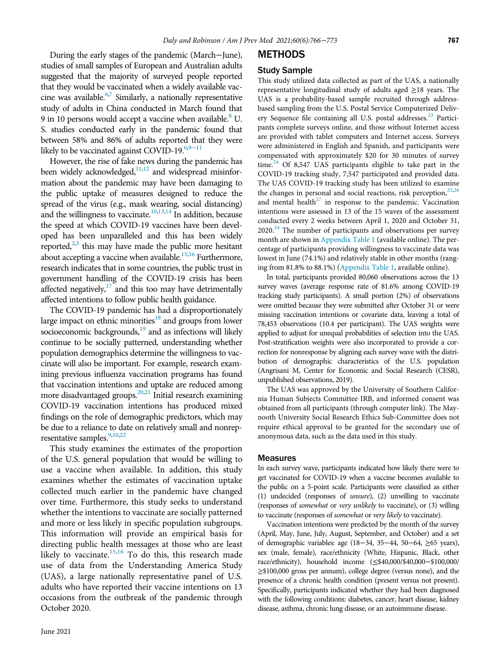During the early stages of the pandemic (March−June), studies of small samples of European and Australian adults suggested that the majority of surveyed people reported that they would be vaccinated when a widely available vaccine was available. $67$  Similarly, a nationally representative study of adults in China conducted in March found that 9 in 10 persons would accept a vaccine when available.<sup>8</sup> U. S. studies conducted early in the pandemic found that between 58% and 86% of adults reported that they were likely to be vaccinated against COVID-19. $6,9-11$  $6,9-11$ 

However, the rise of fake news during the pandemic has been widely acknowledged, $11,12$  $11,12$  and widespread misinformation about the pandemic may have been damaging to the public uptake of measures designed to reduce the spread of the virus (e.g., mask wearing, social distancing) and the willingness to vaccinate.<sup>10,[13](#page-7-0),[14](#page-7-1)</sup> In addition, because the speed at which COVID-19 vaccines have been developed has been unparalleled and this has been widely reported, $2,3$  $2,3$  this may have made the public more hesitant about accepting a vaccine when available.<sup>15[,16](#page-7-3)</sup> Furthermore, research indicates that in some countries, the public trust in government handling of the COVID-19 crisis has been affected negatively, $17$  and this too may have detrimentally affected intentions to follow public health guidance.

The COVID-19 pandemic has had a disproportionately large impact on ethnic minorities<sup>18</sup> and groups from lower socioeconomic backgrounds, $19$  and as infections will likely continue to be socially patterned, understanding whether population demographics determine the willingness to vaccinate will also be important. For example, research examining previous influenza vaccination programs has found that vaccination intentions and uptake are reduced among more disadvantaged groups.<sup>[20](#page-7-7)[,21](#page-7-8)</sup> Initial research examining COVID-19 vaccination intentions has produced mixed findings on the role of demographic predictors, which may be due to a reliance to date on relatively small and nonrep-resentative samples.<sup>[9](#page-6-8),[10](#page-6-11)[,22](#page-7-9)</sup>

This study examines the estimates of the proportion of the U.S. general population that would be willing to use a vaccine when available. In addition, this study examines whether the estimates of vaccination uptake collected much earlier in the pandemic have changed over time. Furthermore, this study seeks to understand whether the intentions to vaccinate are socially patterned and more or less likely in specific population subgroups. This information will provide an empirical basis for directing public health messages at those who are least likely to vaccinate. $15,16$  $15,16$  To do this, this research made use of data from the Understanding America Study (UAS), a large nationally representative panel of U.S. adults who have reported their vaccine intentions on 13 occasions from the outbreak of the pandemic through October 2020.

# **METHODS**

## Study Sample

This study utilized data collected as part of the UAS, a nationally representative longitudinal study of adults aged ≥18 years. The UAS is a probability-based sample recruited through addressbased sampling from the U.S. Postal Service Computerized Deliv-ery Sequence file containing all U.S. postal addresses.<sup>[23](#page-7-10)</sup> Participants complete surveys online, and those without Internet access are provided with tablet computers and Internet access. Surveys were administered in English and Spanish, and participants were compensated with approximately \$20 for 30 minutes of survey time. $24$  Of 8,547 UAS participants eligible to take part in the COVID-19 tracking study, 7,547 participated and provided data. The UAS COVID-19 tracking study has been utilized to examine the changes in personal and social reactions, risk perception, $25,26$  $25,26$  $25,26$ and mental health $^{27}$  in response to the pandemic. Vaccination intentions were assessed in 13 of the 15 waves of the assessment conducted every 2 weeks between April 1, 2020 and October 31,  $2020<sup>24</sup>$  The number of participants and observations per survey month are shown in [Appendix Table 1](#page-6-12) (available online). The percentage of participants providing willingness to vaccinate data was lowest in June (74.1%) and relatively stable in other months (ranging from 81.8% to 88.1%) [\(Appendix Table 1,](#page-6-12) available online).

In total, participants provided 80,060 observations across the 13 survey waves (average response rate of 81.6% among COVID-19 tracking study participants). A small portion (2%) of observations were omitted because they were submitted after October 31 or were missing vaccination intentions or covariate data, leaving a total of 78,453 observations (10.4 per participant). The UAS weights were applied to adjust for unequal probabilities of selection into the UAS. Post-stratification weights were also incorporated to provide a correction for nonresponse by aligning each survey wave with the distribution of demographic characteristics of the U.S. population (Angrisani M, Center for Economic and Social Research (CESR), unpublished observations, 2019).

The UAS was approved by the University of Southern California Human Subjects Committee IRB, and informed consent was obtained from all participants (through computer link). The Maynooth University Social Research Ethics Sub-Committee does not require ethical approval to be granted for the secondary use of anonymous data, such as the data used in this study.

#### Measures

In each survey wave, participants indicated how likely there were to get vaccinated for COVID-19 when a vaccine becomes available to the public on a 5-point scale. Participants were classified as either (1) undecided (responses of unsure), (2) unwilling to vaccinate (responses of somewhat or very unlikely to vaccinate), or (3) willing to vaccinate (responses of somewhat or very likely to vaccinate).

Vaccination intentions were predicted by the month of the survey (April, May, June, July, August, September, and October) and a set of demographic variables: age (18−34, 35−44, 50−64, ≥65 years), sex (male, female), race/ethnicity (White, Hispanic, Black, other race/ethnicity), household income (≤\$40,000/\$40,000−\$100,000/ ≥\$100,000 gross per annum), college degree (versus none), and the presence of a chronic health condition (present versus not present). Specifically, participants indicated whether they had been diagnosed with the following conditions: diabetes, cancer, heart disease, kidney disease, asthma, chronic lung disease, or an autoimmune disease.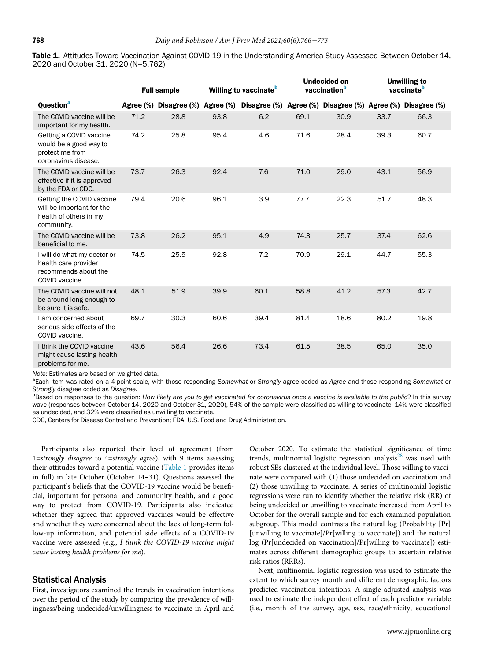<span id="page-2-0"></span>

|                                     | Table 1. Attitudes Toward Vaccination Against COVID-19 in the Understanding America Study Assessed Between October 14, |
|-------------------------------------|------------------------------------------------------------------------------------------------------------------------|
| 2020 and October 31, 2020 (N=5,762) |                                                                                                                        |

|                                                                                                | <b>Full sample</b> |                                  | Willing to vaccinate <sup>b</sup> |      | <b>Undecided on</b><br>vaccination <sup>b</sup> |                                                            | <b>Unwilling to</b><br>vaccinate <sup>b</sup> |      |
|------------------------------------------------------------------------------------------------|--------------------|----------------------------------|-----------------------------------|------|-------------------------------------------------|------------------------------------------------------------|-----------------------------------------------|------|
| Question <sup>a</sup>                                                                          |                    | Agree (%) Disagree (%) Agree (%) |                                   |      |                                                 | Disagree (%) Agree (%) Disagree (%) Agree (%) Disagree (%) |                                               |      |
| The COVID vaccine will be<br>important for my health.                                          | 71.2               | 28.8                             | 93.8                              | 6.2  | 69.1                                            | 30.9                                                       | 33.7                                          | 66.3 |
| Getting a COVID vaccine<br>would be a good way to<br>protect me from<br>coronavirus disease.   | 74.2               | 25.8                             | 95.4                              | 4.6  | 71.6                                            | 28.4                                                       | 39.3                                          | 60.7 |
| The COVID vaccine will be<br>effective if it is approved<br>by the FDA or CDC.                 | 73.7               | 26.3                             | 92.4                              | 7.6  | 71.0                                            | 29.0                                                       | 43.1                                          | 56.9 |
| Getting the COVID vaccine<br>will be important for the<br>health of others in my<br>community. | 79.4               | 20.6                             | 96.1                              | 3.9  | 77.7                                            | 22.3                                                       | 51.7                                          | 48.3 |
| The COVID vaccine will be<br>beneficial to me.                                                 | 73.8               | 26.2                             | 95.1                              | 4.9  | 74.3                                            | 25.7                                                       | 37.4                                          | 62.6 |
| I will do what my doctor or<br>health care provider<br>recommends about the<br>COVID vaccine.  | 74.5               | 25.5                             | 92.8                              | 7.2  | 70.9                                            | 29.1                                                       | 44.7                                          | 55.3 |
| The COVID vaccine will not<br>be around long enough to<br>be sure it is safe.                  | 48.1               | 51.9                             | 39.9                              | 60.1 | 58.8                                            | 41.2                                                       | 57.3                                          | 42.7 |
| I am concerned about<br>serious side effects of the<br>COVID vaccine.                          | 69.7               | 30.3                             | 60.6                              | 39.4 | 81.4                                            | 18.6                                                       | 80.2                                          | 19.8 |
| I think the COVID vaccine<br>might cause lasting health<br>problems for me.                    | 43.6               | 56.4                             | 26.6                              | 73.4 | 61.5                                            | 38.5                                                       | 65.0                                          | 35.0 |

Note: Estimates are based on weighted data.

<span id="page-2-2"></span><sup>a</sup>Each item was rated on a 4-point scale, with those responding Somewhat or Strongly agree coded as Agree and those responding Somewhat or Strongly disagree coded as Disagree.

<span id="page-2-1"></span><sup>b</sup>Based on responses to the question: How likely are you to get vaccinated for coronavirus once a vaccine is available to the public? In this survey wave (responses between October 14, 2020 and October 31, 2020), 54% of the sample were classified as willing to vaccinate, 14% were classified as undecided, and 32% were classified as unwilling to vaccinate.

CDC, Centers for Disease Control and Prevention; FDA, U.S. Food and Drug Administration.

Participants also reported their level of agreement (from 1=strongly disagree to 4=strongly agree), with 9 items assessing their attitudes toward a potential vaccine ([Table 1](#page-2-0) provides items in full) in late October (October 14–31). Questions assessed the participant's beliefs that the COVID-19 vaccine would be beneficial, important for personal and community health, and a good way to protect from COVID-19. Participants also indicated whether they agreed that approved vaccines would be effective and whether they were concerned about the lack of long-term follow-up information, and potential side effects of a COVID-19 vaccine were assessed (e.g., I think the COVID-19 vaccine might cause lasting health problems for me).

#### Statistical Analysis

First, investigators examined the trends in vaccination intentions over the period of the study by comparing the prevalence of willingness/being undecided/unwillingness to vaccinate in April and October 2020. To estimate the statistical significance of time trends, multinomial logistic regression analysis<sup>[28](#page-7-15)</sup> was used with robust SEs clustered at the individual level. Those willing to vaccinate were compared with (1) those undecided on vaccination and (2) those unwilling to vaccinate. A series of multinomial logistic regressions were run to identify whether the relative risk (RR) of being undecided or unwilling to vaccinate increased from April to October for the overall sample and for each examined population subgroup. This model contrasts the natural log (Probability [Pr] [unwilling to vaccinate]/Pr[willing to vaccinate]) and the natural log (Pr[undecided on vaccination]/Pr[willing to vaccinate]) estimates across different demographic groups to ascertain relative risk ratios (RRRs).

Next, multinomial logistic regression was used to estimate the extent to which survey month and different demographic factors predicted vaccination intentions. A single adjusted analysis was used to estimate the independent effect of each predictor variable (i.e., month of the survey, age, sex, race/ethnicity, educational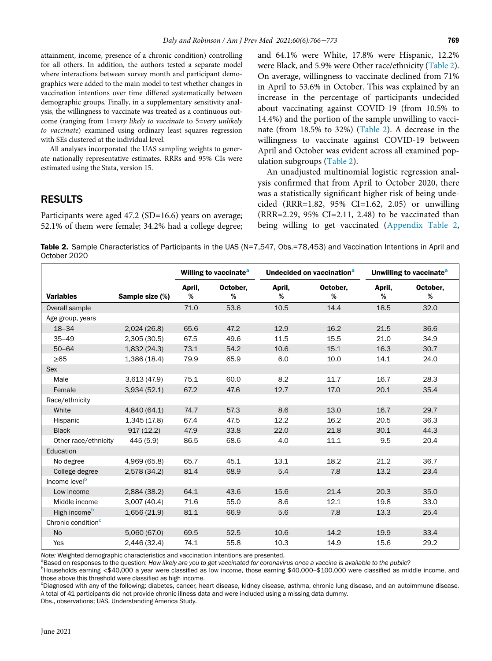attainment, income, presence of a chronic condition) controlling for all others. In addition, the authors tested a separate model where interactions between survey month and participant demographics were added to the main model to test whether changes in vaccination intentions over time differed systematically between demographic groups. Finally, in a supplementary sensitivity analysis, the willingness to vaccinate was treated as a continuous outcome (ranging from 1=very likely to vaccinate to 5=very unlikely to vaccinate) examined using ordinary least squares regression with SEs clustered at the individual level.

All analyses incorporated the UAS sampling weights to generate nationally representative estimates. RRRs and 95% CIs were estimated using the Stata, version 15.

## RESULTS

Participants were aged 47.2 (SD=16.6) years on average; 52.1% of them were female; 34.2% had a college degree; and 64.1% were White, 17.8% were Hispanic, 12.2% were Black, and 5.9% were Other race/ethnicity ([Table 2](#page-3-0)). On average, willingness to vaccinate declined from 71% in April to 53.6% in October. This was explained by an increase in the percentage of participants undecided about vaccinating against COVID-19 (from 10.5% to 14.4%) and the portion of the sample unwilling to vaccinate (from 18.5% to 32%) [\(Table 2](#page-3-0)). A decrease in the willingness to vaccinate against COVID-19 between April and October was evident across all examined population subgroups ([Table 2\)](#page-3-0).

An unadjusted multinomial logistic regression analysis confirmed that from April to October 2020, there was a statistically significant higher risk of being undecided (RRR=1.82, 95% CI=1.62, 2.05) or unwilling (RRR=2.29, 95% CI=2.11, 2.48) to be vaccinated than being willing to get vaccinated [\(Appendix Table 2,](#page-6-12)

<span id="page-3-0"></span>Table 2. Sample Characteristics of Participants in the UAS (N=7,547, Obs.=78,453) and Vaccination Intentions in April and October 2020

|                                |                 |             | Willing to vaccinate <sup>a</sup> | Undecided on vaccination <sup>a</sup> |               | Unwilling to vaccinate <sup>a</sup> |               |
|--------------------------------|-----------------|-------------|-----------------------------------|---------------------------------------|---------------|-------------------------------------|---------------|
| <b>Variables</b>               | Sample size (%) | April,<br>% | October,<br>%                     | April,<br>%                           | October,<br>% | April,<br>%                         | October,<br>% |
| Overall sample                 |                 | 71.0        | 53.6                              | 10.5                                  | 14.4          | 18.5                                | 32.0          |
| Age group, years               |                 |             |                                   |                                       |               |                                     |               |
| $18 - 34$                      | 2,024(26.8)     | 65.6        | 47.2                              | 12.9                                  | 16.2          | 21.5                                | 36.6          |
| $35 - 49$                      | 2,305(30.5)     | 67.5        | 49.6                              | 11.5                                  | 15.5          | 21.0                                | 34.9          |
| $50 - 64$                      | 1,832(24.3)     | 73.1        | 54.2                              | 10.6                                  | 15.1          | 16.3                                | 30.7          |
| $>65$                          | 1,386(18.4)     | 79.9        | 65.9                              | 6.0                                   | 10.0          | 14.1                                | 24.0          |
| Sex                            |                 |             |                                   |                                       |               |                                     |               |
| Male                           | 3,613 (47.9)    | 75.1        | 60.0                              | 8.2                                   | 11.7          | 16.7                                | 28.3          |
| Female                         | 3,934(52.1)     | 67.2        | 47.6                              | 12.7                                  | 17.0          | 20.1                                | 35.4          |
| Race/ethnicity                 |                 |             |                                   |                                       |               |                                     |               |
| White                          | 4,840 (64.1)    | 74.7        | 57.3                              | 8.6                                   | 13.0          | 16.7                                | 29.7          |
| Hispanic                       | 1,345(17.8)     | 67.4        | 47.5                              | 12.2                                  | 16.2          | 20.5                                | 36.3          |
| <b>Black</b>                   | 917(12.2)       | 47.9        | 33.8                              | 22.0                                  | 21.8          | 30.1                                | 44.3          |
| Other race/ethnicity           | 445 (5.9)       | 86.5        | 68.6                              | 4.0                                   | 11.1          | 9.5                                 | 20.4          |
| Education                      |                 |             |                                   |                                       |               |                                     |               |
| No degree                      | 4,969 (65.8)    | 65.7        | 45.1                              | 13.1                                  | 18.2          | 21.2                                | 36.7          |
| College degree                 | 2,578(34.2)     | 81.4        | 68.9                              | 5.4                                   | 7.8           | 13.2                                | 23.4          |
| Income level <sup>b</sup>      |                 |             |                                   |                                       |               |                                     |               |
| Low income                     | 2,884 (38.2)    | 64.1        | 43.6                              | 15.6                                  | 21.4          | 20.3                                | 35.0          |
| Middle income                  | 3,007(40.4)     | 71.6        | 55.0                              | 8.6                                   | 12.1          | 19.8                                | 33.0          |
| High income <sup>b</sup>       | 1,656(21.9)     | 81.1        | 66.9                              | 5.6                                   | 7.8           | 13.3                                | 25.4          |
| Chronic condition <sup>c</sup> |                 |             |                                   |                                       |               |                                     |               |
| <b>No</b>                      | 5,060 (67.0)    | 69.5        | 52.5                              | 10.6                                  | 14.2          | 19.9                                | 33.4          |
| Yes                            | 2,446 (32.4)    | 74.1        | 55.8                              | 10.3                                  | 14.9          | 15.6                                | 29.2          |

<span id="page-3-1"></span>Note: Weighted demographic characteristics and vaccination intentions are presented.

<sup>a</sup>Based on responses to the question: How likely are you to get vaccinated for coronavirus once a vaccine is available to the public?

<span id="page-3-2"></span> $b$ Households earning <\$40,000 a year were classified as low income, those earning \$40,000–\$100,000 were classified as middle income, and those above this threshold were classified as high income.

<sup>c</sup>Diagnosed with any of the following: diabetes, cancer, heart disease, kidney disease, asthma, chronic lung disease, and an autoimmune disease. A total of 41 participants did not provide chronic illness data and were included using a missing data dummy.

Obs., observations; UAS, Understanding America Study.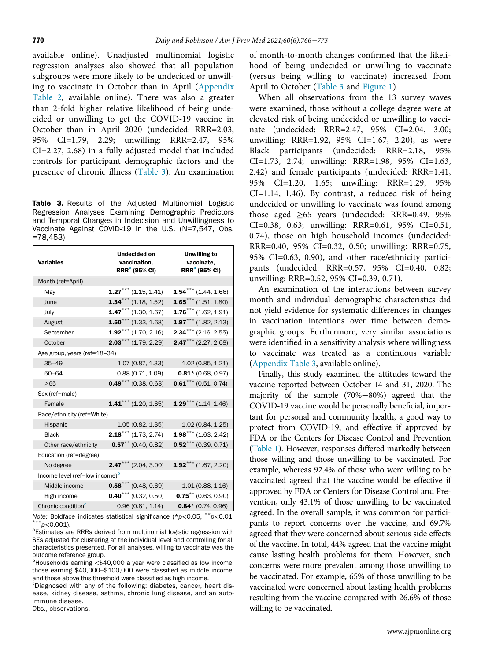available online). Unadjusted multinomial logistic regression analyses also showed that all population subgroups were more likely to be undecided or unwilling to vaccinate in October than in April [\(Appendix](#page-6-12) [Table 2](#page-6-12), available online). There was also a greater than 2-fold higher relative likelihood of being undecided or unwilling to get the COVID-19 vaccine in October than in April 2020 (undecided: RRR=2.03, 95% CI=1.79, 2.29; unwilling: RRR=2.47, 95% CI=2.27, 2.68) in a fully adjusted model that included controls for participant demographic factors and the presence of chronic illness [\(Table 3](#page-4-0)). An examination

<span id="page-4-0"></span>Table 3. Results of the Adjusted Multinomial Logistic Regression Analyses Examining Demographic Predictors and Temporal Changes in Indecision and Unwillingness to Vaccinate Against COVID-19 in the U.S. (N=7,547, Obs. =78,453)

| <b>Variables</b>                           | <b>Undecided on</b><br>vaccination,<br><b>RRR</b> <sup>a</sup> (95% CI) | <b>Unwilling to</b><br>vaccinate,<br><b>RRR</b> <sup>a</sup> (95% CI) |  |  |  |  |
|--------------------------------------------|-------------------------------------------------------------------------|-----------------------------------------------------------------------|--|--|--|--|
| Month (ref=April)                          |                                                                         |                                                                       |  |  |  |  |
| May                                        | $1.27***$ (1.15, 1.41)                                                  | $1.54***$ (1.44, 1.66)                                                |  |  |  |  |
| June                                       | $1.34***$ (1.18, 1.52)                                                  | $1.65***(1.51, 1.80)$                                                 |  |  |  |  |
| July                                       | $1.47***$ (1.30, 1.67)                                                  | $1.76***$ (1.62, 1.91)                                                |  |  |  |  |
| August                                     | $1.50***$ (1.33, 1.68)                                                  | $1.97***$ (1.82, 2.13)                                                |  |  |  |  |
| September                                  | $1.92***$ (1.70, 2.16)                                                  | $2.34***$ (2.16, 2.55)                                                |  |  |  |  |
| October                                    | $2.03***$ (1.79, 2.29)                                                  | $2.47***$ (2.27, 2.68)                                                |  |  |  |  |
| Age group, years (ref=18-34)               |                                                                         |                                                                       |  |  |  |  |
| $35 - 49$                                  | 1.07(0.87, 1.33)                                                        | 1.02(0.85, 1.21)                                                      |  |  |  |  |
| $50 - 64$                                  | 0.88(0.71, 1.09)                                                        | $0.81$ * (0.68, 0.97)                                                 |  |  |  |  |
| $\geq 65$                                  | $0.49$ *** (0.38, 0.63)                                                 | $0.61$ *** (0.51, 0.74)                                               |  |  |  |  |
| Sex (ref=male)                             |                                                                         |                                                                       |  |  |  |  |
| Female                                     | $1.41$ *** (1.20, 1.65)                                                 | $1.29***$ (1.14, 1.46)                                                |  |  |  |  |
| Race/ethnicity (ref=White)                 |                                                                         |                                                                       |  |  |  |  |
| Hispanic                                   | 1.05 (0.82, 1.35)                                                       | 1.02 (0.84, 1.25)                                                     |  |  |  |  |
| <b>Black</b>                               | $2.18$ <sup>***</sup> (1.73, 2.74)                                      | $1.98***$ (1.63, 2.42)                                                |  |  |  |  |
| Other race/ethnicity                       | $0.57^{\star\star}$ (0.40, 0.82)                                        | $0.52***$ (0.39, 0.71)                                                |  |  |  |  |
| Education (ref=degree)                     |                                                                         |                                                                       |  |  |  |  |
| No degree                                  | $2.47***$ (2.04, 3.00)                                                  | $1.92$ *** (1.67, 2.20)                                               |  |  |  |  |
| Income level (ref=low income) <sup>b</sup> |                                                                         |                                                                       |  |  |  |  |
| Middle income                              | $0.58***$ (0.48, 0.69)                                                  | 1.01(0.88, 1.16)                                                      |  |  |  |  |
| High income                                | $0.40***$ (0.32, 0.50)                                                  | $0.75$ <sup>**</sup> (0.63, 0.90)                                     |  |  |  |  |
| Chronic condition <sup>c</sup>             | 0.96(0.81, 1.14)                                                        | $0.84*$ (0.74, 0.96)                                                  |  |  |  |  |

Note: Boldface indicates statistical significance (\*p<0.05, \*\*p<0.01, \*\*\*p<0.001).

<span id="page-4-1"></span><sup>a</sup>Estimates are RRRs derived from multinomial logistic regression with SEs adjusted for clustering at the individual level and controlling for all characteristics presented. For all analyses, willing to vaccinate was the outcome reference group.

<span id="page-4-2"></span> $b$ Households earning <\$40,000 a year were classified as low income, those earning \$40,000-\$100,000 were classified as middle income, and those above this threshold were classified as high income.

<span id="page-4-3"></span><sup>c</sup>Diagnosed with any of the following: diabetes, cancer, heart disease, kidney disease, asthma, chronic lung disease, and an autoimmune disease.

Obs., observations.

of month-to-month changes confirmed that the likelihood of being undecided or unwilling to vaccinate (versus being willing to vaccinate) increased from April to October ([Table 3](#page-4-0) and [Figure 1](#page-5-0)).

When all observations from the 13 survey waves were examined, those without a college degree were at elevated risk of being undecided or unwilling to vaccinate (undecided: RRR=2.47, 95% CI=2.04, 3.00; unwilling: RRR=1.92, 95% CI=1.67, 2.20), as were Black participants (undecided: RRR=2.18, 95% CI=1.73, 2.74; unwilling: RRR=1.98, 95% CI=1.63, 2.42) and female participants (undecided: RRR=1.41, 95% CI=1.20, 1.65; unwilling: RRR=1.29, 95% CI=1.14, 1.46). By contrast, a reduced risk of being undecided or unwilling to vaccinate was found among those aged ≥65 years (undecided: RRR=0.49, 95% CI=0.38, 0.63; unwilling: RRR=0.61, 95% CI=0.51, 0.74), those on high household incomes (undecided: RRR=0.40, 95% CI=0.32, 0.50; unwilling: RRR=0.75, 95% CI=0.63, 0.90), and other race/ethnicity participants (undecided: RRR=0.57, 95% CI=0.40, 0.82; unwilling: RRR=0.52, 95% CI=0.39, 0.71).

An examination of the interactions between survey month and individual demographic characteristics did not yield evidence for systematic differences in changes in vaccination intentions over time between demographic groups. Furthermore, very similar associations were identified in a sensitivity analysis where willingness to vaccinate was treated as a continuous variable ([Appendix Table 3](#page-6-12), available online).

Finally, this study examined the attitudes toward the vaccine reported between October 14 and 31, 2020. The majority of the sample (70%−80%) agreed that the COVID-19 vaccine would be personally beneficial, important for personal and community health, a good way to protect from COVID-19, and effective if approved by FDA or the Centers for Disease Control and Prevention ([Table 1](#page-2-0)). However, responses differed markedly between those willing and those unwilling to be vaccinated. For example, whereas 92.4% of those who were willing to be vaccinated agreed that the vaccine would be effective if approved by FDA or Centers for Disease Control and Prevention, only 43.1% of those unwilling to be vaccinated agreed. In the overall sample, it was common for participants to report concerns over the vaccine, and 69.7% agreed that they were concerned about serious side effects of the vaccine. In total, 44% agreed that the vaccine might cause lasting health problems for them. However, such concerns were more prevalent among those unwilling to be vaccinated. For example, 65% of those unwilling to be vaccinated were concerned about lasting health problems resulting from the vaccine compared with 26.6% of those willing to be vaccinated.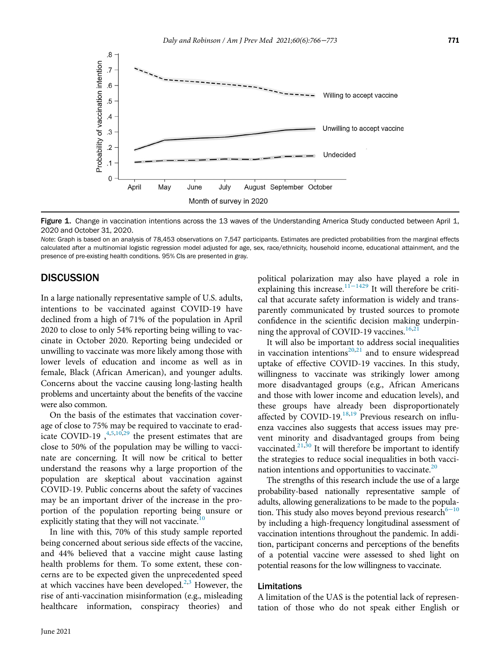<span id="page-5-0"></span>

Figure 1. Change in vaccination intentions across the 13 waves of the Understanding America Study conducted between April 1, 2020 and October 31, 2020.

Note: Graph is based on an analysis of 78,453 observations on 7,547 participants. Estimates are predicted probabilities from the marginal effects calculated after a multinomial logistic regression model adjusted for age, sex, race/ethnicity, household income, educational attainment, and the presence of pre-existing health conditions. 95% CIs are presented in gray.

#### **DISCUSSION**

In a large nationally representative sample of U.S. adults, intentions to be vaccinated against COVID-19 have declined from a high of 71% of the population in April 2020 to close to only 54% reporting being willing to vaccinate in October 2020. Reporting being undecided or unwilling to vaccinate was more likely among those with lower levels of education and income as well as in female, Black (African American), and younger adults. Concerns about the vaccine causing long-lasting health problems and uncertainty about the benefits of the vaccine were also common.

On the basis of the estimates that vaccination coverage of close to 75% may be required to vaccinate to eradicate COVID-19,  $4,5,10,29$  $4,5,10,29$  $4,5,10,29$  $4,5,10,29$  the present estimates that are close to 50% of the population may be willing to vaccinate are concerning. It will now be critical to better understand the reasons why a large proportion of the population are skeptical about vaccination against COVID-19. Public concerns about the safety of vaccines may be an important driver of the increase in the proportion of the population reporting being unsure or explicitly stating that they will not vaccinate.<sup>[10](#page-6-11)</sup>

In line with this, 70% of this study sample reported being concerned about serious side effects of the vaccine, and 44% believed that a vaccine might cause lasting health problems for them. To some extent, these concerns are to be expected given the unprecedented speed at which vaccines have been developed.<sup>[2,](#page-6-1)[3](#page-6-2)</sup> However, the rise of anti-vaccination misinformation (e.g., misleading healthcare information, conspiracy theories) and political polarization [may al](#page-6-9)so have played a role in explaining this increase.<sup>11−1[429](#page-7-16)</sup> It will therefore be critical that accurate safety information is widely and transparently communicated by trusted sources to promote confidence in the scientific decision making underpin-ning the approval of COVID-19 vaccines.<sup>[16](#page-7-3)[,21](#page-7-8)</sup>

It will also be important to address social inequalities in vaccination intentions $^{20,21}$  $^{20,21}$  $^{20,21}$  $^{20,21}$  $^{20,21}$  and to ensure widespread uptake of effective COVID-19 vaccines. In this study, willingness to vaccinate was strikingly lower among more disadvantaged groups (e.g., African Americans and those with lower income and education levels), and these groups have already been disproportionately affected by COVID-19.<sup>[18,](#page-7-5)[19](#page-7-6)</sup> Previous research on influenza vaccines also suggests that access issues may prevent minority and disadvantaged groups from being vaccinated. $^{21,30}$  $^{21,30}$  $^{21,30}$  $^{21,30}$  It will therefore be important to identify the strategies to reduce social inequalities in both vacci-nation intentions and opportunities to vaccinate.<sup>[20](#page-7-7)</sup>

The strengths of this research include the use of a large probability-based nationally representative sample of adults, allowing generalizations to be made to the population. This study also moves beyond previous research<sup>6−1</sup> by including a high-frequency longitudinal assessment of vaccination intentions throughout the pandemic. In addition, participant concerns and perceptions of the benefits of a potential vaccine were assessed to shed light on potential reasons for the low willingness to vaccinate.

#### Limitations

A limitation of the UAS is the potential lack of representation of those who do not speak either English or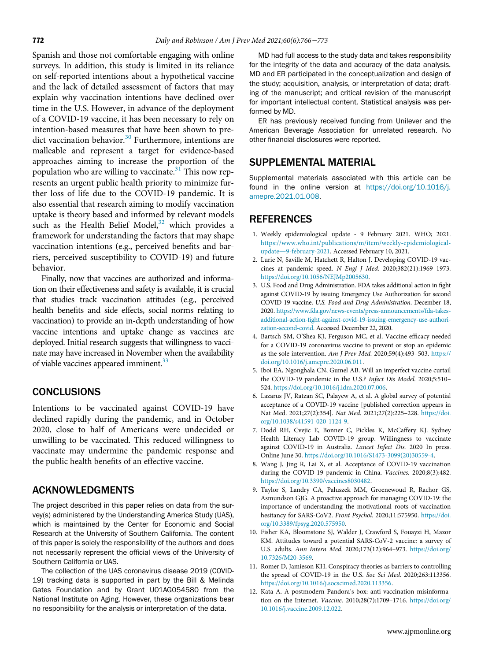<span id="page-6-12"></span>Spanish and those not comfortable engaging with online surveys. In addition, this study is limited in its reliance on self-reported intentions about a hypothetical vaccine and the lack of detailed assessment of factors that may explain why vaccination intentions have declined over time in the U.S. However, in advance of the deployment of a COVID-19 vaccine, it has been necessary to rely on intention-based measures that have been shown to predict vaccination behavior. $30$  Furthermore, intentions are malleable and represent a target for evidence-based approaches aiming to increase the proportion of the population who are willing to vaccinate. $31$  This now represents an urgent public health priority to minimize further loss of life due to the COVID-19 pandemic. It is also essential that research aiming to modify vaccination uptake is theory based and informed by relevant models such as the Health Belief Model, $32$  which provides a framework for understanding the factors that may shape vaccination intentions (e.g., perceived benefits and barriers, perceived susceptibility to COVID-19) and future behavior.

<span id="page-6-2"></span><span id="page-6-1"></span><span id="page-6-0"></span>Finally, now that vaccines are authorized and information on their effectiveness and safety is available, it is crucial that studies track vaccination attitudes (e.g., perceived health benefits and side effects, social norms relating to vaccination) to provide an in-depth understanding of how vaccine intentions and uptake change as vaccines are deployed. Initial research suggests that willingness to vaccinate may have increased in November when the availability of viable vaccines appeared imminent.<sup>33</sup>

### <span id="page-6-5"></span><span id="page-6-4"></span><span id="page-6-3"></span>**CONCLUSIONS**

<span id="page-6-6"></span>Intentions to be vaccinated against COVID-19 have declined rapidly during the pandemic, and in October 2020, close to half of Americans were undecided or unwilling to be vaccinated. This reduced willingness to vaccinate may undermine the pandemic response and the public health benefits of an effective vaccine.

### <span id="page-6-8"></span><span id="page-6-7"></span>ACKNOWLEDGMENTS

<span id="page-6-11"></span>The project described in this paper relies on data from the survey(s) administered by the Understanding America Study (UAS), which is maintained by the Center for Economic and Social Research at the University of Southern California. The content of this paper is solely the responsibility of the authors and does not necessarily represent the official views of the University of Southern California or UAS.

<span id="page-6-10"></span><span id="page-6-9"></span>The collection of the UAS coronavirus disease 2019 (COVID-19) tracking data is supported in part by the Bill & Melinda Gates Foundation and by Grant U01AG054580 from the National Institute on Aging. However, these organizations bear no responsibility for the analysis or interpretation of the data.

MD had full access to the study data and takes responsibility for the integrity of the data and accuracy of the data analysis. MD and ER participated in the conceptualization and design of the study; acquisition, analysis, or interpretation of data; drafting of the manuscript; and critical revision of the manuscript for important intellectual content. Statistical analysis was performed by MD.

ER has previously received funding from Unilever and the American Beverage Association for unrelated research. No other financial disclosures were reported.

#### SUPPLEMENTAL MATERIAL

Supplemental materials associated with this article can be found in the online version at [https://doi.org/10.1016/j.](https://doi.org/10.1016/j.amepre.2021.01.008) [amepre.2021.01.008](https://doi.org/10.1016/j.amepre.2021.01.008).

### **REFERENCES**

- 1. Weekly epidemiological update 9 February 2021. WHO; 2021. [https://www.who.int/publications/m/item/weekly-epidemiological](https://www.who.int/publications/m/item/weekly-epidemiological-update---9-february-2021)update—[9-february-2021.](https://www.who.int/publications/m/item/weekly-epidemiological-update---9-february-2021) Accessed February 10, 2021.
- 2. Lurie N, Saville M, Hatchett R, Halton J. Developing COVID-19 vaccines at pandemic speed. N Engl J Med. 2020;382(21):1969–1973. [https://doi.org/10.1056/NEJMp2005630.](https://doi.org/10.1056/NEJMp2005630)
- 3. U.S. Food and Drug Administration. FDA takes additional action in fight against COVID-19 by issuing Emergency Use Authorization for second COVID-19 vaccine. U.S. Food and Drug Administration. December 18, 2020. [https://www.fda.gov/news-events/press-announcements/fda-takes](https://www.fda.gov/news-events/press-announcements/fda-takes-additional-action-fight-against-covid-19-issuing-emergency-use-authorization-second-covid)additional-action-fi[ght-against-covid-19-issuing-emergency-use-authori](https://www.fda.gov/news-events/press-announcements/fda-takes-additional-action-fight-against-covid-19-issuing-emergency-use-authorization-second-covid)[zation-second-covid.](https://www.fda.gov/news-events/press-announcements/fda-takes-additional-action-fight-against-covid-19-issuing-emergency-use-authorization-second-covid) Accessed December 22, 2020.
- 4. Bartsch SM, O'Shea KJ, Ferguson MC, et al. Vaccine efficacy needed for a COVID-19 coronavirus vaccine to prevent or stop an epidemic as the sole intervention. Am J Prev Med. 2020;59(4):493–503. [https://](https://doi.org/10.1016/j.amepre.2020.06.011) [doi.org/10.1016/j.amepre.2020.06.011.](https://doi.org/10.1016/j.amepre.2020.06.011)
- 5. Iboi EA, Ngonghala CN, Gumel AB. Will an imperfect vaccine curtail the COVID-19 pandemic in the U.S.? Infect Dis Model. 2020;5:510– 524. [https://doi.org/10.1016/j.idm.2020.07.006.](https://doi.org/10.1016/j.idm.2020.07.006)
- 6. Lazarus JV, Ratzan SC, Palayew A, et al. A global survey of potential acceptance of a COVID-19 vaccine [published correction appears in Nat Med. 2021;27(2):354]. Nat Med. 2021;27(2):225–228. [https://doi.](https://doi.org/10.1038/s41591-020-1124-9) [org/10.1038/s41591-020-1124-9.](https://doi.org/10.1038/s41591-020-1124-9)
- 7. Dodd RH, Cvejic E, Bonner C, Pickles K, McCaffery KJ. Sydney Health Literacy Lab COVID-19 group. Willingness to vaccinate against COVID-19 in Australia. Lancet Infect Dis. 2020 In press. Online June 30. [https://doi.org/10.1016/S1473-3099\(20\)30559-4.](https://doi.org/10.1016/S1473-3099(20)30559-4)
- 8. Wang J, Jing R, Lai X, et al. Acceptance of COVID-19 vaccination during the COVID-19 pandemic in China. Vaccines. 2020;8(3):482. [https://doi.org/10.3390/vaccines8030482.](https://doi.org/10.3390/vaccines8030482)
- 9. Taylor S, Landry CA, Paluszek MM, Groenewoud R, Rachor GS, Asmundson GJG. A proactive approach for managing COVID-19: the importance of understanding the motivational roots of vaccination hesitancy for SARS-CoV2. Front Psychol. 2020;11:575950. [https://doi.](https://doi.org/10.3389/fpsyg.2020.575950) [org/10.3389/fpsyg.2020.575950.](https://doi.org/10.3389/fpsyg.2020.575950)
- 10. Fisher KA, Bloomstone SJ, Walder J, Crawford S, Fouayzi H, Mazor KM. Attitudes toward a potential SARS-CoV-2 vaccine: a survey of U.S. adults. Ann Intern Med. 2020;173(12):964–973. [https://doi.org/](https://doi.org/10.7326/M20-3569) [10.7326/M20-3569.](https://doi.org/10.7326/M20-3569)
- 11. Romer D, Jamieson KH. Conspiracy theories as barriers to controlling the spread of COVID-19 in the U.S. Soc Sci Med. 2020;263:113356. [https://doi.org/10.1016/j.socscimed.2020.113356.](https://doi.org/10.1016/j.socscimed.2020.113356)
- 12. Kata A. A postmodern Pandora's box: anti-vaccination misinformation on the Internet. Vaccine. 2010;28(7):1709–1716. [https://doi.org/](https://doi.org/10.1016/j.vaccine.2009.12.022) [10.1016/j.vaccine.2009.12.022.](https://doi.org/10.1016/j.vaccine.2009.12.022)